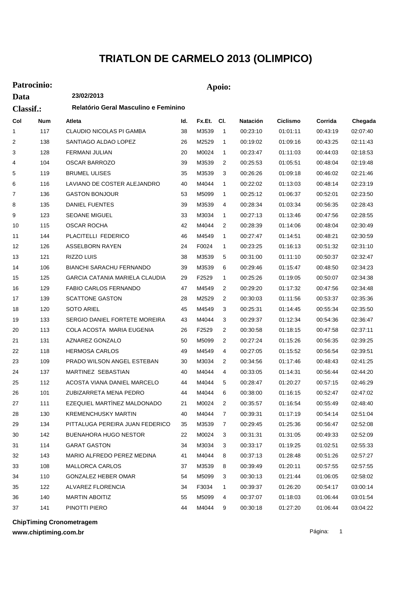## **TRIATLON DE CARMELO 2013 (OLIMPICO)**

## **Patrocinio: Apoio:**

| Data             |     | 23/02/2013                            |     |        |                |          |                 |          |          |
|------------------|-----|---------------------------------------|-----|--------|----------------|----------|-----------------|----------|----------|
| <b>Classif.:</b> |     | Relatório Geral Masculino e Feminino  |     |        |                |          |                 |          |          |
| Col              | Num | Atleta                                | ld. | Fx.Et. | CI.            | Natación | <b>Ciclismo</b> | Corrida  | Chegada  |
| 1                | 117 | <b>CLAUDIO NICOLAS PI GAMBA</b>       | 38  | M3539  | $\overline{1}$ | 00:23:10 | 01:01:11        | 00:43:19 | 02:07:40 |
| 2                | 138 | SANTIAGO ALDAO LOPEZ                  | 26  | M2529  | $\mathbf{1}$   | 00:19:02 | 01:09:16        | 00:43:25 | 02:11:43 |
| 3                | 128 | FERMANI JULIAN                        | 20  | M0024  | 1              | 00:23:47 | 01:11:03        | 00:44:03 | 02:18:53 |
| 4                | 104 | <b>OSCAR BARROZO</b>                  | 39  | M3539  | 2              | 00:25:53 | 01:05:51        | 00:48:04 | 02:19:48 |
| 5                | 119 | <b>BRUMEL ULISES</b>                  | 35  | M3539  | 3              | 00:26:26 | 01:09:18        | 00:46:02 | 02:21:46 |
| 6                | 116 | LAVIANO DE COSTER ALEJANDRO           | 40  | M4044  | 1              | 00:22:02 | 01:13:03        | 00:48:14 | 02:23:19 |
| 7                | 136 | <b>GASTON BONJOUR</b>                 | 53  | M5099  | 1              | 00:25:12 | 01:06:37        | 00:52:01 | 02:23:50 |
| 8                | 135 | <b>DANIEL FUENTES</b>                 | 39  | M3539  | 4              | 00:28:34 | 01:03:34        | 00.56:35 | 02:28:43 |
| 9                | 123 | <b>SEOANE MIGUEL</b>                  | 33  | M3034  | 1              | 00:27:13 | 01:13:46        | 00:47:56 | 02:28:55 |
| 10               | 115 | <b>OSCAR ROCHA</b>                    | 42  | M4044  | 2              | 00:28:39 | 01:14:06        | 00:48:04 | 02:30:49 |
| 11               | 144 | PLACITELLI FEDERICO                   | 46  | M4549  | 1              | 00:27:47 | 01:14:51        | 00:48:21 | 02:30:59 |
| 12               | 126 | ASSELBORN RAYEN                       | 24  | F0024  | 1              | 00:23:25 | 01:16:13        | 00:51:32 | 02:31:10 |
| 13               | 121 | RIZZO LUIS                            | 38  | M3539  | 5              | 00:31:00 | 01:11:10        | 00:50:37 | 02:32:47 |
| 14               | 106 | BIANCHI SARACHU FERNANDO              | 39  | M3539  | 6              | 00:29:46 | 01:15:47        | 00:48:50 | 02:34:23 |
| 15               | 125 | <b>GARCIA CATANIA MARIELA CLAUDIA</b> | 29  | F2529  | 1              | 00:25:26 | 01:19:05        | 00:50:07 | 02:34:38 |
| 16               | 129 | FABIO CARLOS FERNANDO                 | 47  | M4549  | 2              | 00:29:20 | 01:17:32        | 00:47:56 | 02:34:48 |
| 17               | 139 | <b>SCATTONE GASTON</b>                | 28  | M2529  | 2              | 00:30:03 | 01:11:56        | 00:53:37 | 02.35.36 |
| 18               | 120 | SOTO ARIEL                            | 45  | M4549  | 3              | 00:25:31 | 01:14:45        | 00:55:34 | 02:35:50 |
| 19               | 133 | SERGIO DANIEL FORTETE MOREIRA         | 43  | M4044  | 3              | 00:29:37 | 01:12:34        | 00:54:36 | 02:36:47 |
| 20               | 113 | COLA ACOSTA MARIA EUGENIA             | 26  | F2529  | 2              | 00:30:58 | 01:18:15        | 00:47:58 | 02:37:11 |
| 21               | 131 | AZNAREZ GONZALO                       | 50  | M5099  | 2              | 00:27:24 | 01:15:26        | 00:56:35 | 02:39:25 |
| 22               | 118 | <b>HERMOSA CARLOS</b>                 | 49  | M4549  | 4              | 00:27:05 | 01:15:52        | 00:56:54 | 02:39:51 |
| 23               | 109 | PRADO WILSON ANGEL ESTEBAN            | 30  | M3034  | 2              | 00:34:56 | 01:17:46        | 00:48:43 | 02:41:25 |
| 24               | 137 | MARTINEZ SEBASTIAN                    | 40  | M4044  | 4              | 00:33:05 | 01:14:31        | 00:56:44 | 02:44:20 |
| 25               | 112 | ACOSTA VIANA DANIEL MARCELO           | 44  | M4044  | 5              | 00:28:47 | 01:20:27        | 00:57:15 | 02:46:29 |
| 26               | 101 | ZUBIZARRETA MENA PEDRO                | 44  | M4044  | 6              | 00:38:00 | 01:16:15        | 00:52:47 | 02:47:02 |
| 27               | 111 | EZEQUIEL MARTÍNEZ MALDONADO           | 21  | M0024  | 2              | 00:35:57 | 01:16:54        | 00:55:49 | 02:48:40 |
| 28               | 130 | <b>KREMENCHUSKY MARTIN</b>            | 40  | M4044  | $\overline{7}$ | 00:39:31 | 01:17:19        | 00:54:14 | 02:51:04 |
| 29               | 134 | PITTALUGA PEREIRA JUAN FEDERICO       | 35  | M3539  | 7              | 00:29:45 | 01:25:36        | 00:56:47 | 02:52:08 |
| 30               | 142 | BUENAHORA HUGO NESTOR                 | 22  | M0024  | 3              | 00:31:31 | 01:31:05        | 00:49:33 | 02:52:09 |
| 31               | 114 | <b>GARAT GASTON</b>                   | 34  | M3034  | 3              | 00:33:17 | 01:19:25        | 01:02:51 | 02:55:33 |
| 32               | 143 | MARIO ALFREDO PEREZ MEDINA            | 41  | M4044  | 8              | 00:37:13 | 01:28:48        | 00:51:26 | 02:57:27 |
| 33               | 108 | MALLORCA CARLOS                       | 37  | M3539  | 8              | 00:39:49 | 01:20:11        | 00:57:55 | 02:57:55 |
| 34               | 110 | GONZALEZ HEBER OMAR                   | 54  | M5099  | 3              | 00:30:13 | 01:21:44        | 01:06:05 | 02:58:02 |
| 35               | 122 | ALVAREZ FLORENCIA                     | 34  | F3034  | 1              | 00:39:37 | 01:26:20        | 00:54:17 | 03:00:14 |
| 36               | 140 | MARTIN ABOITIZ                        | 55  | M5099  | 4              | 00:37:07 | 01:18:03        | 01:06:44 | 03:01:54 |
| 37               | 141 | PINOTTI PIERO                         | 44  | M4044  | 9              | 00:30:18 | 01:27:20        | 01:06:44 | 03:04:22 |

**ChipTiming Cronometragem**

**www.chiptiming.com.br**

Página: 1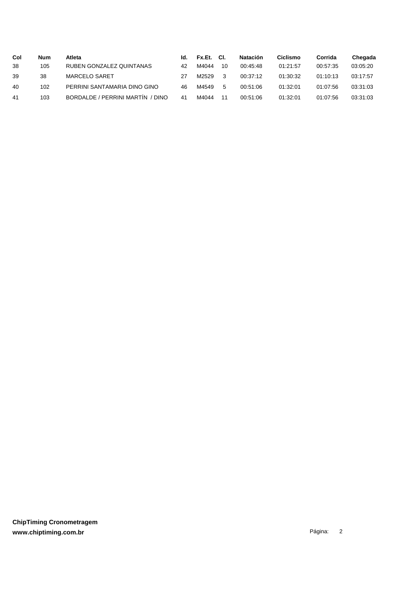| Col | <b>Num</b> | Atleta                              | ld. | Fx.Et. | CI. | <b>Natación</b> | Ciclismo | Corrida  | Chegada  |
|-----|------------|-------------------------------------|-----|--------|-----|-----------------|----------|----------|----------|
| 38  | 105        | RUBEN GONZALEZ QUINTANAS            | 42  | M4044  | 10  | 00:45:48        | 01:21:57 | 00:57:35 | 03:05:20 |
| 39  | 38         | <b>MARCELO SARET</b>                | 27  | M2529  | - 3 | 00:37:12        | 01:30:32 | 01:10:13 | 03:17:57 |
| 40  | 102        | PERRINI SANTAMARIA DINO GINO        | 46  | M4549  | 5   | 00:51:06        | 01:32:01 | 01:07:56 | 03:31:03 |
| 41  | 103        | BORDALDE / PERRINI MARTIN<br>/ DINO | 41  | M4044  | 11  | 00:51:06        | 01:32:01 | 01:07:56 | 03:31:03 |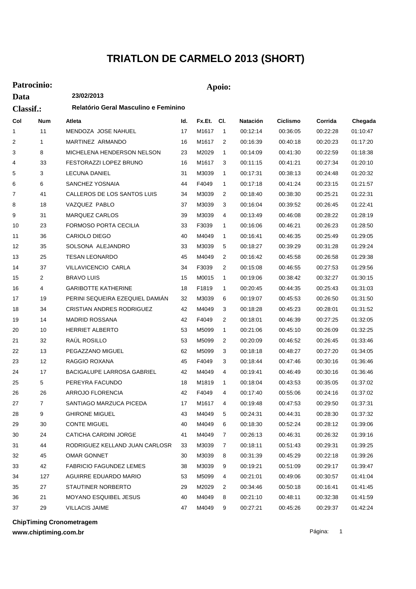## **TRIATLON DE CARMELO 2013 (SHORT)**

## **Patrocinio: Apoio:**

**Data**

**23/02/2013**

| <b>Classif.:</b> |                | Relatório Geral Masculino e Feminino |     |            |                |          |          |          |          |
|------------------|----------------|--------------------------------------|-----|------------|----------------|----------|----------|----------|----------|
| Col              | <b>Num</b>     | Atleta                               | ld. | Fx.Et. Cl. |                | Natación | Ciclismo | Corrida  | Chegada  |
| 1                | 11             | MENDOZA JOSE NAHUEL                  | 17  | M1617      | $\mathbf{1}$   | 00:12:14 | 00:36:05 | 00:22:28 | 01:10:47 |
| 2                | $\mathbf{1}$   | MARTINEZ ARMANDO                     | 16  | M1617      | $\overline{2}$ | 00:16:39 | 00:40:18 | 00:20:23 | 01:17:20 |
| 3                | 8              | MICHELENA HENDERSON NELSON           | 23  | M2029      | 1              | 00:14:09 | 00:41:30 | 00:22:59 | 01:18:38 |
| 4                | 33             | FESTORAZZI LOPEZ BRUNO               | 16  | M1617      | 3              | 00:11:15 | 00:41:21 | 00:27:34 | 01:20:10 |
| 5                | 3              | <b>LECUNA DANIEL</b>                 | 31  | M3039      | 1              | 00:17:31 | 00:38:13 | 00:24:48 | 01:20:32 |
| 6                | 6              | SANCHEZ YOSNAIA                      | 44  | F4049      | 1              | 00:17:18 | 00:41:24 | 00:23:15 | 01:21:57 |
| 7                | 41             | CALLEROS DE LOS SANTOS LUIS          | 34  | M3039      | $\overline{2}$ | 00:18:40 | 00:38:30 | 00:25:21 | 01:22:31 |
| 8                | 18             | VAZQUEZ PABLO                        | 37  | M3039      | 3              | 00:16:04 | 00:39:52 | 00:26:45 | 01:22:41 |
| 9                | 31             | <b>MARQUEZ CARLOS</b>                | 39  | M3039      | 4              | 00:13:49 | 00:46:08 | 00:28:22 | 01:28:19 |
| 10               | 23             | <b>FORMOSO PORTA CECILIA</b>         | 33  | F3039      | 1              | 00:16:06 | 00:46:21 | 00:26:23 | 01:28:50 |
| 11               | 36             | <b>CARIOLO DIEGO</b>                 | 40  | M4049      | 1              | 00:16:41 | 00:46:35 | 00:25:49 | 01:29:05 |
| 12               | 35             | SOLSONA ALEJANDRO                    | 33  | M3039      | 5              | 00:18:27 | 00:39:29 | 00:31:28 | 01:29:24 |
| 13               | 25             | <b>TESAN LEONARDO</b>                | 45  | M4049      | $\overline{2}$ | 00:16:42 | 00:45:58 | 00:26:58 | 01:29:38 |
| 14               | 37             | <b>VILLAVICENCIO CARLA</b>           | 34  | F3039      | 2              | 00:15:08 | 00:46:55 | 00:27:53 | 01:29:56 |
| 15               | $\overline{2}$ | <b>BRAVO LUIS</b>                    | 15  | M0015      | 1              | 00:19:06 | 00:38:42 | 00:32:27 | 01:30:15 |
| 16               | 4              | <b>GARIBOTTE KATHERINE</b>           | 18  | F1819      | 1              | 00:20:45 | 00:44:35 | 00:25:43 | 01:31:03 |
| 17               | 19             | PERINI SEQUEIRA EZEQUIEL DAMIAN      | 32  | M3039      | 6              | 00:19:07 | 00:45:53 | 00:26:50 | 01:31:50 |
| 18               | 34             | <b>CRISTIAN ANDRES RODRIGUEZ</b>     | 42  | M4049      | 3              | 00:18:28 | 00:45:23 | 00:28:01 | 01:31:52 |
| 19               | 14             | <b>MADRID ROSSANA</b>                | 42  | F4049      | 2              | 00:18:01 | 00:46:39 | 00:27:25 | 01:32:05 |
| 20               | 10             | <b>HERRIET ALBERTO</b>               | 53  | M5099      | 1              | 00:21:06 | 00:45:10 | 00:26:09 | 01:32:25 |
| 21               | 32             | RAÚL ROSILLO                         | 53  | M5099      | $\overline{2}$ | 00:20:09 | 00:46:52 | 00:26:45 | 01:33:46 |
| 22               | 13             | PEGAZZANO MIGUEL                     | 62  | M5099      | 3              | 00:18:18 | 00:48:27 | 00:27:20 | 01:34:05 |
| 23               | 12             | RAGGIO ROXANA                        | 45  | F4049      | 3              | 00:18:44 | 00:47:46 | 00:30:16 | 01:36:46 |
| 24               | 17             | BACIGALUPE LARROSA GABRIEL           | 42  | M4049      | 4              | 00:19:41 | 00:46:49 | 00:30:16 | 01:36:46 |
| 25               | 5              | PEREYRA FACUNDO                      | 18  | M1819      | 1              | 00:18:04 | 00:43:53 | 00:35:05 | 01:37:02 |
| 26               | 26             | ARROJO FLORENCIA                     | 42  | F4049      | 4              | 00:17:40 | 00:55:06 | 00:24:16 | 01:37:02 |
| 27               | $\overline{7}$ | SANTIAGO MARZUCA PICEDA              | 17  | M1617      | 4              | 00:19:48 | 00:47:53 | 00:29:50 | 01:37:31 |
| 28               | 9              | <b>GHIRONE MIGUEL</b>                | 43  | M4049      | 5              | 00:24:31 | 00:44:31 | 00:28:30 | 01:37:32 |
| 29               | 30             | <b>CONTE MIGUEL</b>                  | 40  | M4049      | 6              | 00:18:30 | 00:52:24 | 00:28:12 | 01:39:06 |
| 30               | 24             | CATICHA CARDINI JORGE                | 41  | M4049      | 7              | 00:26:13 | 00:46:31 | 00:26:32 | 01:39:16 |
| 31               | 44             | RODRIGUEZ KELLAND JUAN CARLOSR       | 33  | M3039      | 7              | 00:18:11 | 00:51:43 | 00:29:31 | 01:39:25 |
| 32               | 45             | OMAR GONNET                          | 30  | M3039      | 8              | 00:31:39 | 00:45:29 | 00:22:18 | 01:39:26 |
| 33               | 42             | <b>FABRICIO FAGUNDEZ LEMES</b>       | 38  | M3039      | 9              | 00:19:21 | 00:51:09 | 00:29:17 | 01:39:47 |
| 34               | 127            | AGUIRRE EDUARDO MARIO                | 53  | M5099      | 4              | 00:21:01 | 00:49:06 | 00:30:57 | 01:41:04 |
| 35               | 27             | STAUTINER NORBERTO                   | 29  | M2029      | 2              | 00:34:46 | 00:50:18 | 00:16:41 | 01:41:45 |
| 36               | 21             | MOYANO ESQUIBEL JESUS                | 40  | M4049      | 8              | 00:21:10 | 00:48:11 | 00:32:38 | 01:41:59 |
| 37               | 29             | VILLACIS JAIME                       | 47  | M4049      | 9              | 00:27:21 | 00:45:26 | 00:29:37 | 01:42:24 |

**ChipTiming Cronometragem**

**www.chiptiming.com.br**

Página: 1